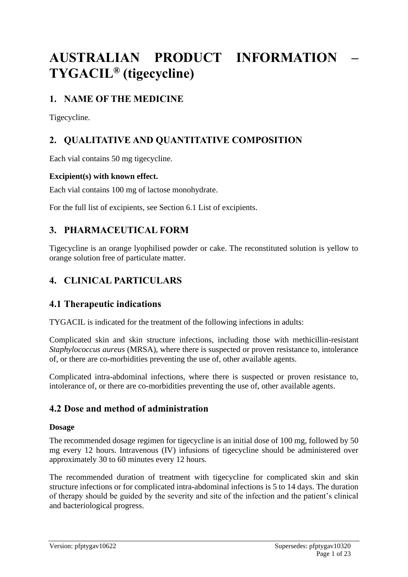# **AUSTRALIAN PRODUCT INFORMATION – TYGACIL® (tigecycline)**

# **1. NAME OF THE MEDICINE**

Tigecycline.

# **2. QUALITATIVE AND QUANTITATIVE COMPOSITION**

Each vial contains 50 mg tigecycline.

### **Excipient(s) with known effect.**

Each vial contains 100 mg of lactose monohydrate.

For the full list of excipients, see Section 6.1 List of excipients.

# **3. PHARMACEUTICAL FORM**

Tigecycline is an orange lyophilised powder or cake. The reconstituted solution is yellow to orange solution free of particulate matter.

# **4. CLINICAL PARTICULARS**

# **4.1 Therapeutic indications**

TYGACIL is indicated for the treatment of the following infections in adults:

Complicated skin and skin structure infections, including those with methicillin-resistant *Staphylococcus aureus* (MRSA), where there is suspected or proven resistance to, intolerance of, or there are co-morbidities preventing the use of, other available agents.

Complicated intra-abdominal infections, where there is suspected or proven resistance to, intolerance of, or there are co-morbidities preventing the use of, other available agents.

# **4.2 Dose and method of administration**

### **Dosage**

The recommended dosage regimen for tigecycline is an initial dose of 100 mg, followed by 50 mg every 12 hours. Intravenous (IV) infusions of tigecycline should be administered over approximately 30 to 60 minutes every 12 hours.

The recommended duration of treatment with tigecycline for complicated skin and skin structure infections or for complicated intra-abdominal infections is 5 to 14 days. The duration of therapy should be guided by the severity and site of the infection and the patient's clinical and bacteriological progress.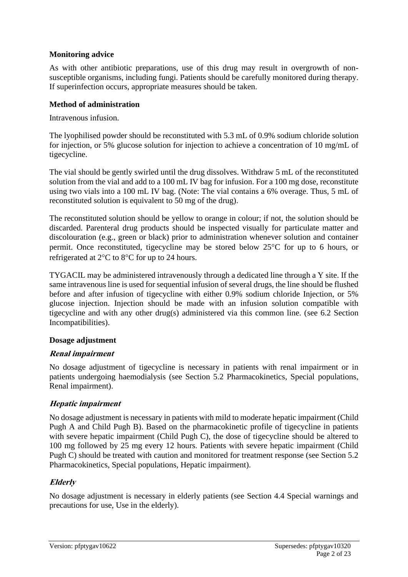### **Monitoring advice**

As with other antibiotic preparations, use of this drug may result in overgrowth of nonsusceptible organisms, including fungi. Patients should be carefully monitored during therapy. If superinfection occurs, appropriate measures should be taken.

### **Method of administration**

Intravenous infusion.

The lyophilised powder should be reconstituted with 5.3 mL of 0.9% sodium chloride solution for injection, or 5% glucose solution for injection to achieve a concentration of 10 mg/mL of tigecycline.

The vial should be gently swirled until the drug dissolves. Withdraw 5 mL of the reconstituted solution from the vial and add to a 100 mL IV bag for infusion. For a 100 mg dose, reconstitute using two vials into a 100 mL IV bag. (Note: The vial contains a 6% overage. Thus, 5 mL of reconstituted solution is equivalent to 50 mg of the drug).

The reconstituted solution should be yellow to orange in colour; if not, the solution should be discarded. Parenteral drug products should be inspected visually for particulate matter and discolouration (e.g., green or black) prior to administration whenever solution and container permit. Once reconstituted, tigecycline may be stored below  $25^{\circ}$ C for up to 6 hours, or refrigerated at  $2^{\circ}$ C to  $8^{\circ}$ C for up to 24 hours.

TYGACIL may be administered intravenously through a dedicated line through a Y site. If the same intravenous line is used for sequential infusion of several drugs, the line should be flushed before and after infusion of tigecycline with either 0.9% sodium chloride Injection, or 5% glucose injection. Injection should be made with an infusion solution compatible with tigecycline and with any other drug(s) administered via this common line. (see 6.2 Section Incompatibilities).

#### **Dosage adjustment**

### **Renal impairment**

No dosage adjustment of tigecycline is necessary in patients with renal impairment or in patients undergoing haemodialysis (see Section 5.2 Pharmacokinetics, Special populations, Renal impairment).

### **Hepatic impairment**

No dosage adjustment is necessary in patients with mild to moderate hepatic impairment (Child Pugh A and Child Pugh B). Based on the pharmacokinetic profile of tigecycline in patients with severe hepatic impairment (Child Pugh C), the dose of tigecycline should be altered to 100 mg followed by 25 mg every 12 hours. Patients with severe hepatic impairment (Child Pugh C) should be treated with caution and monitored for treatment response (see Section 5.2 Pharmacokinetics, Special populations, Hepatic impairment).

### **Elderly**

No dosage adjustment is necessary in elderly patients (see Section 4.4 Special warnings and precautions for use, Use in the elderly).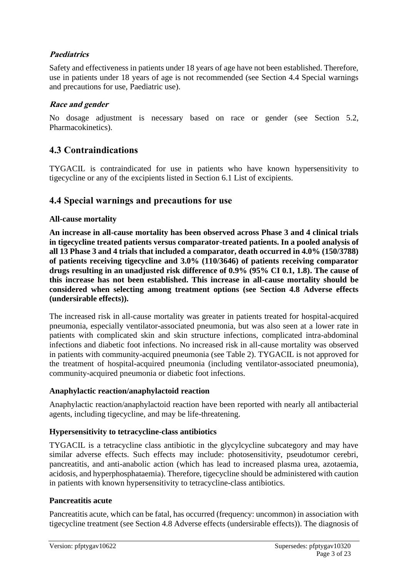### **Paediatrics**

Safety and effectiveness in patients under 18 years of age have not been established. Therefore, use in patients under 18 years of age is not recommended (see Section 4.4 Special warnings and precautions for use, Paediatric use).

### **Race and gender**

No dosage adjustment is necessary based on race or gender (see Section 5.2, Pharmacokinetics).

# **4.3 Contraindications**

TYGACIL is contraindicated for use in patients who have known hypersensitivity to tigecycline or any of the excipients listed in Section 6.1 List of excipients.

### **4.4 Special warnings and precautions for use**

### **All-cause mortality**

**An increase in all-cause mortality has been observed across Phase 3 and 4 clinical trials in tigecycline treated patients versus comparator-treated patients. In a pooled analysis of all 13 Phase 3 and 4 trials that included a comparator, death occurred in 4.0% (150/3788) of patients receiving tigecycline and 3.0% (110/3646) of patients receiving comparator drugs resulting in an unadjusted risk difference of 0.9% (95% CI 0.1, 1.8). The cause of this increase has not been established. This increase in all-cause mortality should be considered when selecting among treatment options (see Section 4.8 Adverse effects (undersirable effects)).**

The increased risk in all-cause mortality was greater in patients treated for hospital-acquired pneumonia, especially ventilator-associated pneumonia, but was also seen at a lower rate in patients with complicated skin and skin structure infections, complicated intra-abdominal infections and diabetic foot infections. No increased risk in all-cause mortality was observed in patients with community-acquired pneumonia (see Table 2). TYGACIL is not approved for the treatment of hospital-acquired pneumonia (including ventilator-associated pneumonia), community-acquired pneumonia or diabetic foot infections.

### **Anaphylactic reaction/anaphylactoid reaction**

Anaphylactic reaction/anaphylactoid reaction have been reported with nearly all antibacterial agents, including tigecycline, and may be life-threatening.

### **Hypersensitivity to tetracycline-class antibiotics**

TYGACIL is a tetracycline class antibiotic in the glycylcycline subcategory and may have similar adverse effects. Such effects may include: photosensitivity, pseudotumor cerebri, pancreatitis, and anti-anabolic action (which has lead to increased plasma urea, azotaemia, acidosis, and hyperphosphataemia). Therefore, tigecycline should be administered with caution in patients with known hypersensitivity to tetracycline-class antibiotics.

### **Pancreatitis acute**

Pancreatitis acute, which can be fatal, has occurred (frequency: uncommon) in association with tigecycline treatment (see Section 4.8 Adverse effects (undersirable effects)). The diagnosis of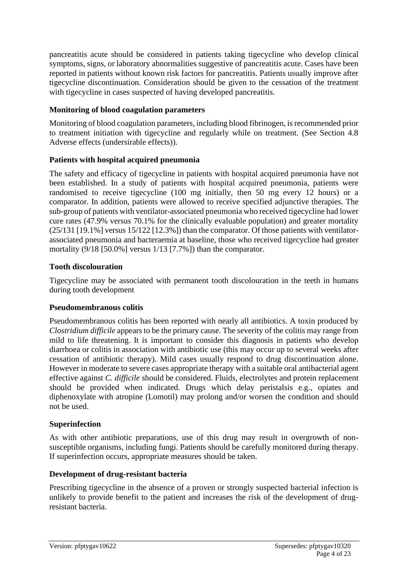pancreatitis acute should be considered in patients taking tigecycline who develop clinical symptoms, signs, or laboratory abnormalities suggestive of pancreatitis acute. Cases have been reported in patients without known risk factors for pancreatitis. Patients usually improve after tigecycline discontinuation. Consideration should be given to the cessation of the treatment with tigecycline in cases suspected of having developed pancreatitis.

### **Monitoring of blood coagulation parameters**

Monitoring of blood coagulation parameters, including blood fibrinogen, is recommended prior to treatment initiation with tigecycline and regularly while on treatment. (See Section 4.8 Adverse effects (undersirable effects)).

### **Patients with hospital acquired pneumonia**

The safety and efficacy of tigecycline in patients with hospital acquired pneumonia have not been established. In a study of patients with hospital acquired pneumonia, patients were randomised to receive tigecycline (100 mg initially, then 50 mg every 12 hours) or a comparator. In addition, patients were allowed to receive specified adjunctive therapies. The sub-group of patients with ventilator-associated pneumonia who received tigecycline had lower cure rates (47.9% versus 70.1% for the clinically evaluable population) and greater mortality (25/131 [19.1%] versus 15/122 [12.3%]) than the comparator. Of those patients with ventilatorassociated pneumonia and bacteraemia at baseline, those who received tigecycline had greater mortality (9/18 [50.0%] versus 1/13 [7.7%]) than the comparator.

### **Tooth discolouration**

Tigecycline may be associated with permanent tooth discolouration in the teeth in humans during tooth development

#### **Pseudomembranous colitis**

Pseudomembranous colitis has been reported with nearly all antibiotics. A toxin produced by *Clostridium difficile* appears to be the primary cause. The severity of the colitis may range from mild to life threatening. It is important to consider this diagnosis in patients who develop diarrhoea or colitis in association with antibiotic use (this may occur up to several weeks after cessation of antibiotic therapy). Mild cases usually respond to drug discontinuation alone. However in moderate to severe cases appropriate therapy with a suitable oral antibacterial agent effective against *C. difficile* should be considered. Fluids, electrolytes and protein replacement should be provided when indicated. Drugs which delay peristalsis e.g., opiates and diphenoxylate with atropine (Lomotil) may prolong and/or worsen the condition and should not be used.

#### **Superinfection**

As with other antibiotic preparations, use of this drug may result in overgrowth of nonsusceptible organisms, including fungi. Patients should be carefully monitored during therapy. If superinfection occurs, appropriate measures should be taken.

#### **Development of drug-resistant bacteria**

Prescribing tigecycline in the absence of a proven or strongly suspected bacterial infection is unlikely to provide benefit to the patient and increases the risk of the development of drugresistant bacteria.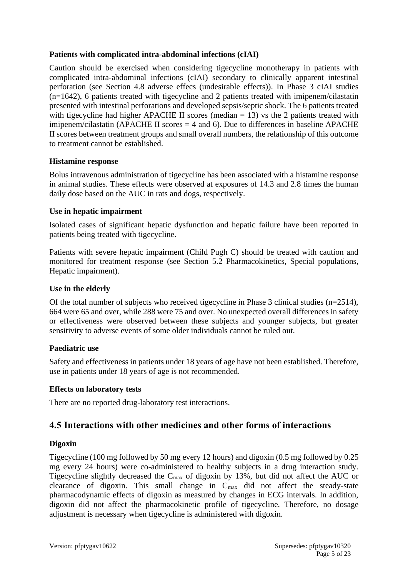### **Patients with complicated intra-abdominal infections (cIAI)**

Caution should be exercised when considering tigecycline monotherapy in patients with complicated intra-abdominal infections (cIAI) secondary to clinically apparent intestinal perforation (see Section 4.8 adverse effecs (undesirable effects)). In Phase 3 cIAI studies (n=1642), 6 patients treated with tigecycline and 2 patients treated with imipenem/cilastatin presented with intestinal perforations and developed sepsis/septic shock. The 6 patients treated with tigecycline had higher APACHE II scores (median  $= 13$ ) vs the 2 patients treated with imipenem/cilastatin (APACHE II scores  $=$  4 and 6). Due to differences in baseline APACHE II scores between treatment groups and small overall numbers, the relationship of this outcome to treatment cannot be established.

#### **Histamine response**

Bolus intravenous administration of tigecycline has been associated with a histamine response in animal studies. These effects were observed at exposures of 14.3 and 2.8 times the human daily dose based on the AUC in rats and dogs, respectively.

#### **Use in hepatic impairment**

Isolated cases of significant hepatic dysfunction and hepatic failure have been reported in patients being treated with tigecycline.

Patients with severe hepatic impairment (Child Pugh C) should be treated with caution and monitored for treatment response (see Section 5.2 Pharmacokinetics, Special populations, Hepatic impairment).

#### **Use in the elderly**

Of the total number of subjects who received tigecycline in Phase 3 clinical studies (n=2514), 664 were 65 and over, while 288 were 75 and over. No unexpected overall differences in safety or effectiveness were observed between these subjects and younger subjects, but greater sensitivity to adverse events of some older individuals cannot be ruled out.

#### **Paediatric use**

Safety and effectiveness in patients under 18 years of age have not been established. Therefore, use in patients under 18 years of age is not recommended.

#### **Effects on laboratory tests**

There are no reported drug-laboratory test interactions.

### **4.5 Interactions with other medicines and other forms of interactions**

#### **Digoxin**

Tigecycline (100 mg followed by 50 mg every 12 hours) and digoxin (0.5 mg followed by 0.25 mg every 24 hours) were co-administered to healthy subjects in a drug interaction study. Tigecycline slightly decreased the Cmax of digoxin by 13%, but did not affect the AUC or clearance of digoxin. This small change in Cmax did not affect the steady-state pharmacodynamic effects of digoxin as measured by changes in ECG intervals. In addition, digoxin did not affect the pharmacokinetic profile of tigecycline. Therefore, no dosage adjustment is necessary when tigecycline is administered with digoxin.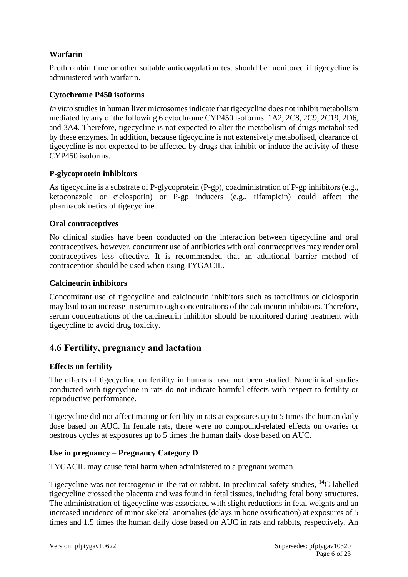### **Warfarin**

Prothrombin time or other suitable anticoagulation test should be monitored if tigecycline is administered with warfarin.

### **Cytochrome P450 isoforms**

*In vitro* studies in human liver microsomes indicate that tigecycline does not inhibit metabolism mediated by any of the following 6 cytochrome CYP450 isoforms: 1A2, 2C8, 2C9, 2C19, 2D6, and 3A4. Therefore, tigecycline is not expected to alter the metabolism of drugs metabolised by these enzymes. In addition, because tigecycline is not extensively metabolised, clearance of tigecycline is not expected to be affected by drugs that inhibit or induce the activity of these CYP450 isoforms.

### **P-glycoprotein inhibitors**

As tigecycline is a substrate of P-glycoprotein (P-gp), coadministration of P-gp inhibitors (e.g., ketoconazole or ciclosporin) or P-gp inducers (e.g., rifampicin) could affect the pharmacokinetics of tigecycline.

### **Oral contraceptives**

No clinical studies have been conducted on the interaction between tigecycline and oral contraceptives, however, concurrent use of antibiotics with oral contraceptives may render oral contraceptives less effective. It is recommended that an additional barrier method of contraception should be used when using TYGACIL.

#### **Calcineurin inhibitors**

Concomitant use of tigecycline and calcineurin inhibitors such as tacrolimus or ciclosporin may lead to an increase in serum trough concentrations of the calcineurin inhibitors. Therefore, serum concentrations of the calcineurin inhibitor should be monitored during treatment with tigecycline to avoid drug toxicity.

### **4.6 Fertility, pregnancy and lactation**

### **Effects on fertility**

The effects of tigecycline on fertility in humans have not been studied. Nonclinical studies conducted with tigecycline in rats do not indicate harmful effects with respect to fertility or reproductive performance.

Tigecycline did not affect mating or fertility in rats at exposures up to 5 times the human daily dose based on AUC. In female rats, there were no compound-related effects on ovaries or oestrous cycles at exposures up to 5 times the human daily dose based on AUC.

### **Use in pregnancy – Pregnancy Category D**

TYGACIL may cause fetal harm when administered to a pregnant woman.

Tigecycline was not teratogenic in the rat or rabbit. In preclinical safety studies, <sup>14</sup>C-labelled tigecycline crossed the placenta and was found in fetal tissues, including fetal bony structures. The administration of tigecycline was associated with slight reductions in fetal weights and an increased incidence of minor skeletal anomalies (delays in bone ossification) at exposures of 5 times and 1.5 times the human daily dose based on AUC in rats and rabbits, respectively. An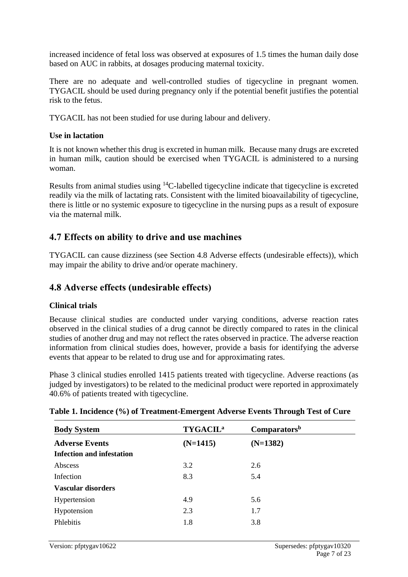increased incidence of fetal loss was observed at exposures of 1.5 times the human daily dose based on AUC in rabbits, at dosages producing maternal toxicity.

There are no adequate and well-controlled studies of tigecycline in pregnant women. TYGACIL should be used during pregnancy only if the potential benefit justifies the potential risk to the fetus.

TYGACIL has not been studied for use during labour and delivery.

### **Use in lactation**

It is not known whether this drug is excreted in human milk. Because many drugs are excreted in human milk, caution should be exercised when TYGACIL is administered to a nursing woman.

Results from animal studies using <sup>14</sup>C-labelled tigecycline indicate that tigecycline is excreted readily via the milk of lactating rats. Consistent with the limited bioavailability of tigecycline, there is little or no systemic exposure to tigecycline in the nursing pups as a result of exposure via the maternal milk.

# **4.7 Effects on ability to drive and use machines**

TYGACIL can cause dizziness (see Section 4.8 Adverse effects (undesirable effects)), which may impair the ability to drive and/or operate machinery.

### **4.8 Adverse effects (undesirable effects)**

#### **Clinical trials**

Because clinical studies are conducted under varying conditions, adverse reaction rates observed in the clinical studies of a drug cannot be directly compared to rates in the clinical studies of another drug and may not reflect the rates observed in practice. The adverse reaction information from clinical studies does, however, provide a basis for identifying the adverse events that appear to be related to drug use and for approximating rates.

Phase 3 clinical studies enrolled 1415 patients treated with tigecycline. Adverse reactions (as judged by investigators) to be related to the medicinal product were reported in approximately 40.6% of patients treated with tigecycline.

| <b>Body System</b>               | <b>TYGACIL<sup>a</sup></b> | Comparators <sup>b</sup> |
|----------------------------------|----------------------------|--------------------------|
| <b>Adverse Events</b>            | $(N=1415)$                 | $(N=1382)$               |
| <b>Infection and infestation</b> |                            |                          |
| Abscess                          | 3.2                        | 2.6                      |
| Infection                        | 8.3                        | 5.4                      |
| <b>Vascular disorders</b>        |                            |                          |
| Hypertension                     | 4.9                        | 5.6                      |
| Hypotension                      | 2.3                        | 1.7                      |
| Phlebitis                        | 1.8                        | 3.8                      |

#### **Table 1. Incidence (%) of Treatment-Emergent Adverse Events Through Test of Cure**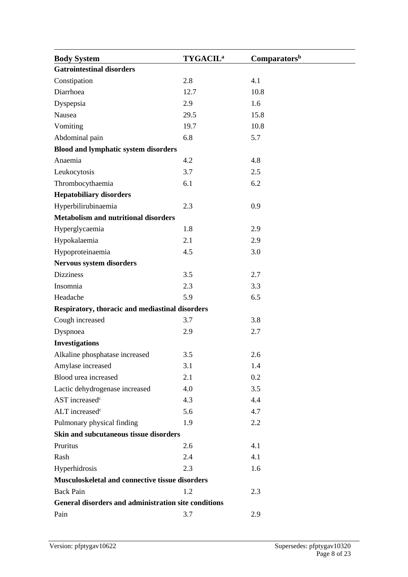| <b>Body System</b>                                   | <b>TYGACIL<sup>a</sup></b> | Comparators <sup>b</sup> |  |  |  |
|------------------------------------------------------|----------------------------|--------------------------|--|--|--|
| <b>Gatrointestinal disorders</b>                     |                            |                          |  |  |  |
| Constipation                                         | 2.8                        | 4.1                      |  |  |  |
| Diarrhoea                                            | 12.7                       | 10.8                     |  |  |  |
| Dyspepsia                                            | 2.9                        | 1.6                      |  |  |  |
| Nausea                                               | 29.5                       | 15.8                     |  |  |  |
| Vomiting                                             | 19.7                       | 10.8                     |  |  |  |
| Abdominal pain                                       | 6.8                        | 5.7                      |  |  |  |
| <b>Blood and lymphatic system disorders</b>          |                            |                          |  |  |  |
| Anaemia                                              | 4.2                        | 4.8                      |  |  |  |
| Leukocytosis                                         | 3.7                        | 2.5                      |  |  |  |
| Thrombocythaemia                                     | 6.1                        | 6.2                      |  |  |  |
| <b>Hepatobiliary disorders</b>                       |                            |                          |  |  |  |
| Hyperbilirubinaemia                                  | 2.3                        | 0.9                      |  |  |  |
| <b>Metabolism and nutritional disorders</b>          |                            |                          |  |  |  |
| Hyperglycaemia                                       | 1.8                        | 2.9                      |  |  |  |
| Hypokalaemia                                         | 2.1                        | 2.9                      |  |  |  |
| Hypoproteinaemia                                     | 4.5                        | 3.0                      |  |  |  |
| Nervous system disorders                             |                            |                          |  |  |  |
| <b>Dizziness</b>                                     | 3.5                        | 2.7                      |  |  |  |
| Insomnia                                             | 2.3                        | 3.3                      |  |  |  |
| Headache                                             | 5.9                        | 6.5                      |  |  |  |
| Respiratory, thoracic and mediastinal disorders      |                            |                          |  |  |  |
| Cough increased                                      | 3.7                        | 3.8                      |  |  |  |
| Dyspnoea                                             | 2.9                        | 2.7                      |  |  |  |
| <b>Investigations</b>                                |                            |                          |  |  |  |
| Alkaline phosphatase increased                       | 3.5                        | 2.6                      |  |  |  |
| Amylase increased                                    | 3.1                        | 1.4                      |  |  |  |
| Blood urea increased                                 | 2.1                        | 0.2                      |  |  |  |
| Lactic dehydrogenase increased                       | 4.0                        | 3.5                      |  |  |  |
| AST increased <sup>c</sup>                           | 4.3                        | 4.4                      |  |  |  |
| ALT increased <sup>c</sup>                           | 5.6                        | 4.7                      |  |  |  |
| Pulmonary physical finding                           | 1.9                        | 2.2                      |  |  |  |
| Skin and subcutaneous tissue disorders               |                            |                          |  |  |  |
| Pruritus                                             | 2.6                        | 4.1                      |  |  |  |
| Rash                                                 | 2.4                        | 4.1                      |  |  |  |
| Hyperhidrosis                                        | 2.3                        | 1.6                      |  |  |  |
| Musculoskeletal and connective tissue disorders      |                            |                          |  |  |  |
| <b>Back Pain</b>                                     | 1.2                        | 2.3                      |  |  |  |
| General disorders and administration site conditions |                            |                          |  |  |  |
| Pain                                                 | 3.7                        | 2.9                      |  |  |  |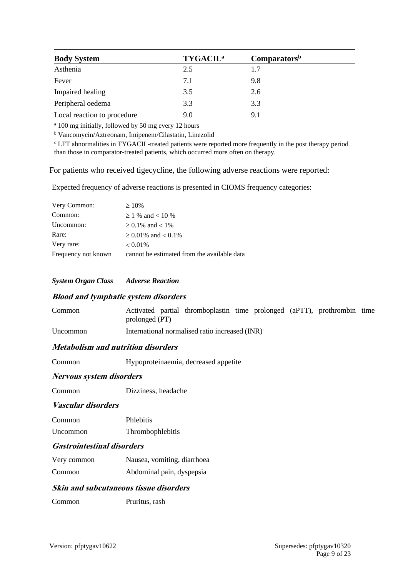| <b>Body System</b>          | <b>TYGACIL<sup>a</sup></b> | Comparators <sup>b</sup> |
|-----------------------------|----------------------------|--------------------------|
| Asthenia                    | 2.5                        | 1.7                      |
| Fever                       | 7.1                        | 9.8                      |
| Impaired healing            | 3.5                        | 2.6                      |
| Peripheral oedema           | 3.3                        | 3.3                      |
| Local reaction to procedure | 9.0                        | 9.1                      |

<sup>a</sup> 100 mg initially, followed by 50 mg every 12 hours

<sup>b</sup> Vancomycin/Aztreonam, Imipenem/Cilastatin, Linezolid

<sup>c</sup> LFT abnormalities in TYGACIL-treated patients were reported more frequently in the post therapy period than those in comparator-treated patients, which occurred more often on therapy.

For patients who received tigecycline, the following adverse reactions were reported:

Expected frequency of adverse reactions is presented in CIOMS frequency categories:

| Very Common:        | $\geq 10\%$                                 |
|---------------------|---------------------------------------------|
| Common:             | $\geq$ 1 % and < 10 %                       |
| Uncommon:           | $\geq$ 0.1% and < 1%                        |
| Rare:               | $\geq 0.01\%$ and $< 0.1\%$                 |
| Very rare:          | $< 0.01\%$                                  |
| Frequency not known | cannot be estimated from the available data |

*System Organ Class Adverse Reaction*

#### **Blood and lymphatic system disorders**

| Common   | Activated partial thromboplastin time prolonged (aPTT), prothrombin time<br>prolonged (PT) |  |  |  |
|----------|--------------------------------------------------------------------------------------------|--|--|--|
| Uncommon | International normalised ratio increased (INR)                                             |  |  |  |

#### **Metabolism and nutrition disorders**

Common Hypoproteinaemia, decreased appetite

#### **Nervous system disorders**

Common Dizziness, headache

#### **Vascular disorders**

| Common | <b>Phlebitis</b> |  |
|--------|------------------|--|
|        |                  |  |

Uncommon Thrombophlebitis

#### **Gastrointestinal disorders**

- Very common Nausea, vomiting, diarrhoea
- Common Abdominal pain, dyspepsia

#### **Skin and subcutaneous tissue disorders**

Common Pruritus, rash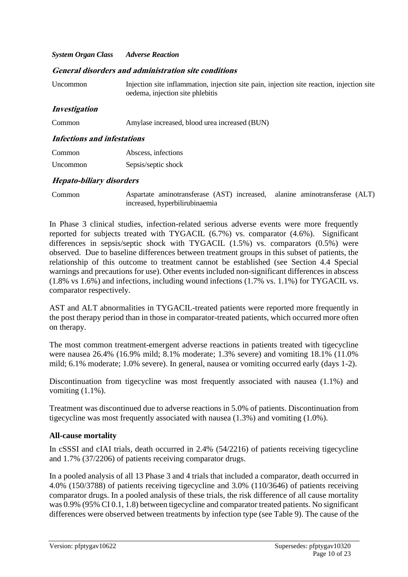#### *System Organ Class Adverse Reaction*

#### **General disorders and administration site conditions**

| Uncommon                           | Injection site inflammation, injection site pain, injection site reaction, injection site<br>oedema, injection site phlebitis |  |  |
|------------------------------------|-------------------------------------------------------------------------------------------------------------------------------|--|--|
| <i>Investigation</i>               |                                                                                                                               |  |  |
| Common                             | Amylase increased, blood urea increased (BUN)                                                                                 |  |  |
| <b>Infections and infestations</b> |                                                                                                                               |  |  |
| Common                             | Abscess, infections                                                                                                           |  |  |
| Uncommon                           | Sepsis/septic shock                                                                                                           |  |  |

#### **Hepato-biliary disorders**

Common Aspartate aminotransferase (AST) increased, alanine aminotransferase (ALT) increased, hyperbilirubinaemia

In Phase 3 clinical studies, infection-related serious adverse events were more frequently reported for subjects treated with TYGACIL (6.7%) vs. comparator (4.6%). Significant differences in sepsis/septic shock with TYGACIL (1.5%) vs. comparators (0.5%) were observed. Due to baseline differences between treatment groups in this subset of patients, the relationship of this outcome to treatment cannot be established (see Section 4.4 Special warnings and precautions for use). Other events included non-significant differences in abscess (1.8% vs 1.6%) and infections, including wound infections (1.7% vs. 1.1%) for TYGACIL vs. comparator respectively.

AST and ALT abnormalities in TYGACIL-treated patients were reported more frequently in the post therapy period than in those in comparator-treated patients, which occurred more often on therapy.

The most common treatment-emergent adverse reactions in patients treated with tigecycline were nausea 26.4% (16.9% mild; 8.1% moderate; 1.3% severe) and vomiting 18.1% (11.0% mild; 6.1% moderate; 1.0% severe). In general, nausea or vomiting occurred early (days 1-2).

Discontinuation from tigecycline was most frequently associated with nausea (1.1%) and vomiting  $(1.1\%)$ .

Treatment was discontinued due to adverse reactions in 5.0% of patients. Discontinuation from tigecycline was most frequently associated with nausea (1.3%) and vomiting (1.0%).

#### **All-cause mortality**

In cSSSI and cIAI trials, death occurred in 2.4% (54/2216) of patients receiving tigecycline and 1.7% (37/2206) of patients receiving comparator drugs.

In a pooled analysis of all 13 Phase 3 and 4 trials that included a comparator, death occurred in 4.0% (150/3788) of patients receiving tigecycline and 3.0% (110/3646) of patients receiving comparator drugs. In a pooled analysis of these trials, the risk difference of all cause mortality was 0.9% (95% CI 0.1, 1.8) between tigecycline and comparator treated patients. No significant differences were observed between treatments by infection type (see Table 9). The cause of the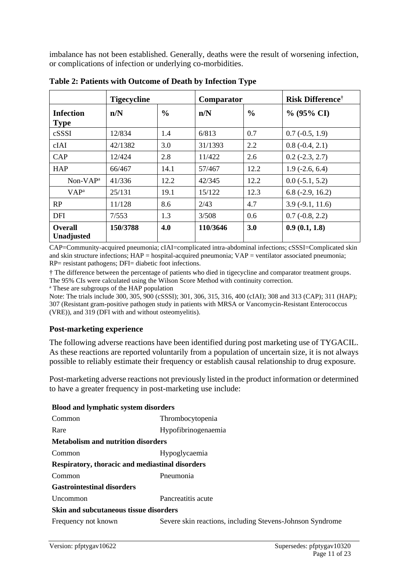imbalance has not been established. Generally, deaths were the result of worsening infection, or complications of infection or underlying co-morbidities.

|                                 | <b>Tigecycline</b> | Comparator    |          |               | <b>Risk Difference</b> <sup>†</sup> |  |
|---------------------------------|--------------------|---------------|----------|---------------|-------------------------------------|--|
| <b>Infection</b><br><b>Type</b> | n/N                | $\frac{0}{0}$ | n/N      | $\frac{0}{0}$ | $\%$ (95% CI)                       |  |
| cSSSI                           | 12/834             | 1.4           | 6/813    | 0.7           | $0.7(-0.5, 1.9)$                    |  |
| cIAI                            | 42/1382            | 3.0           | 31/1393  | 2.2           | $0.8(-0.4, 2.1)$                    |  |
| CAP                             | 12/424             | 2.8           | 11/422   | 2.6           | $0.2$ ( $-2.3$ , $2.7$ )            |  |
| <b>HAP</b>                      | 66/467             | 14.1          | 57/467   | 12.2          | $1.9(-2.6, 6.4)$                    |  |
| $Non-VAPa$                      | 41/336             | 12.2          | 42/345   | 12.2          | $0.0$ ( $-5.1, 5.2$ )               |  |
| VAP <sup>a</sup>                | 25/131             | 19.1          | 15/122   | 12.3          | $6.8$ ( $-2.9$ , 16.2)              |  |
| RP                              | 11/128             | 8.6           | 2/43     | 4.7           | $3.9(-9.1, 11.6)$                   |  |
| <b>DFI</b>                      | 7/553              | 1.3           | 3/508    | 0.6           | $0.7(-0.8, 2.2)$                    |  |
| <b>Overall</b><br>Unadjusted    | 150/3788           | 4.0           | 110/3646 | 3.0           | 0.9(0.1, 1.8)                       |  |

**Table 2: Patients with Outcome of Death by Infection Type**

CAP=Community-acquired pneumonia; cIAI=complicated intra-abdominal infections; cSSSI=Complicated skin and skin structure infections; HAP = hospital-acquired pneumonia; VAP = ventilator associated pneumonia; RP= resistant pathogens; DFI= diabetic foot infections.

† The difference between the percentage of patients who died in tigecycline and comparator treatment groups. The 95% CIs were calculated using the Wilson Score Method with continuity correction.

<sup>a</sup> These are subgroups of the HAP population

Note: The trials include 300, 305, 900 (cSSSI); 301, 306, 315, 316, 400 (cIAI); 308 and 313 (CAP); 311 (HAP); 307 (Resistant gram-positive pathogen study in patients with MRSA or Vancomycin-Resistant Enterococcus (VRE)), and 319 (DFI with and without osteomyelitis).

#### **Post-marketing experience**

The following adverse reactions have been identified during post marketing use of TYGACIL. As these reactions are reported voluntarily from a population of uncertain size, it is not always possible to reliably estimate their frequency or establish causal relationship to drug exposure.

Post-marketing adverse reactions not previously listed in the product information or determined to have a greater frequency in post-marketing use include:

| <b>Blood and lymphatic system disorders</b>     |                                                           |  |
|-------------------------------------------------|-----------------------------------------------------------|--|
| Common                                          | Thrombocytopenia                                          |  |
| Rare                                            | Hypofibrinogenaemia                                       |  |
| <b>Metabolism and nutrition disorders</b>       |                                                           |  |
| Common                                          | Hypoglycaemia                                             |  |
| Respiratory, thoracic and mediastinal disorders |                                                           |  |
| Common                                          | Pneumonia                                                 |  |
| <b>Gastrointestinal disorders</b>               |                                                           |  |
| <b>Uncommon</b>                                 | Pancreatitis acute                                        |  |
| Skin and subcutaneous tissue disorders          |                                                           |  |
| Frequency not known                             | Severe skin reactions, including Stevens-Johnson Syndrome |  |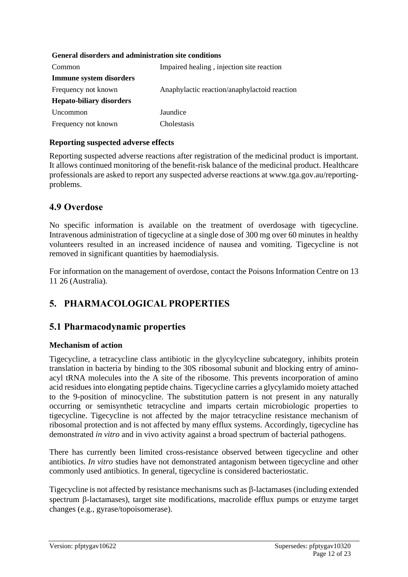#### **General disorders and administration site conditions**

| Common                          | Impaired healing, injection site reaction    |
|---------------------------------|----------------------------------------------|
| Immune system disorders         |                                              |
| Frequency not known             | Anaphylactic reaction/anaphylactoid reaction |
| <b>Hepato-biliary disorders</b> |                                              |
| Uncommon                        | Jaundice                                     |
| Frequency not known             | Cholestasis                                  |

### **Reporting suspected adverse effects**

Reporting suspected adverse reactions after registration of the medicinal product is important. It allows continued monitoring of the benefit-risk balance of the medicinal product. Healthcare professionals are asked to report any suspected adverse reactions at www.tga.gov.au/reportingproblems.

### **4.9 Overdose**

No specific information is available on the treatment of overdosage with tigecycline. Intravenous administration of tigecycline at a single dose of 300 mg over 60 minutes in healthy volunteers resulted in an increased incidence of nausea and vomiting. Tigecycline is not removed in significant quantities by haemodialysis.

For information on the management of overdose, contact the Poisons Information Centre on 13 11 26 (Australia).

# **5. PHARMACOLOGICAL PROPERTIES**

### **5.1 Pharmacodynamic properties**

#### **Mechanism of action**

Tigecycline, a tetracycline class antibiotic in the glycylcycline subcategory, inhibits protein translation in bacteria by binding to the 30S ribosomal subunit and blocking entry of aminoacyl tRNA molecules into the A site of the ribosome. This prevents incorporation of amino acid residues into elongating peptide chains. Tigecycline carries a glycylamido moiety attached to the 9-position of minocycline. The substitution pattern is not present in any naturally occurring or semisynthetic tetracycline and imparts certain microbiologic properties to tigecycline. Tigecycline is not affected by the major tetracycline resistance mechanism of ribosomal protection and is not affected by many efflux systems. Accordingly, tigecycline has demonstrated *in vitro* and in vivo activity against a broad spectrum of bacterial pathogens.

There has currently been limited cross-resistance observed between tigecycline and other antibiotics. *In vitro* studies have not demonstrated antagonism between tigecycline and other commonly used antibiotics. In general, tigecycline is considered bacteriostatic.

Tigecycline is not affected by resistance mechanisms such as  $\beta$ -lactamases (including extended spectrum  $\beta$ -lactamases), target site modifications, macrolide efflux pumps or enzyme target changes (e.g., gyrase/topoisomerase).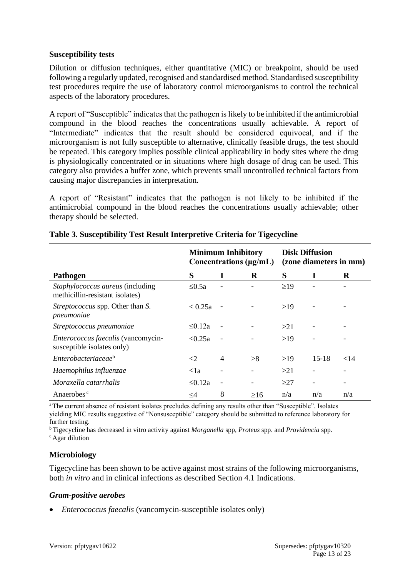#### **Susceptibility tests**

Dilution or diffusion techniques, either quantitative (MIC) or breakpoint, should be used following a regularly updated, recognised and standardised method. Standardised susceptibility test procedures require the use of laboratory control microorganisms to control the technical aspects of the laboratory procedures.

A report of "Susceptible" indicates that the pathogen is likely to be inhibited if the antimicrobial compound in the blood reaches the concentrations usually achievable. A report of "Intermediate" indicates that the result should be considered equivocal, and if the microorganism is not fully susceptible to alternative, clinically feasible drugs, the test should be repeated. This category implies possible clinical applicability in body sites where the drug is physiologically concentrated or in situations where high dosage of drug can be used. This category also provides a buffer zone, which prevents small uncontrolled technical factors from causing major discrepancies in interpretation.

A report of "Resistant" indicates that the pathogen is not likely to be inhibited if the antimicrobial compound in the blood reaches the concentrations usually achievable; other therapy should be selected.

|                                                                            | <b>Minimum Inhibitory</b><br>Concentrations $(\mu g/mL)$ |                          |           | <b>Disk Diffusion</b><br>(zone diameters in mm) |           |           |
|----------------------------------------------------------------------------|----------------------------------------------------------|--------------------------|-----------|-------------------------------------------------|-----------|-----------|
| Pathogen                                                                   | S                                                        | I                        | R         | S                                               | I         | R         |
| <i>Staphylococcus aureus</i> (including<br>methicillin-resistant isolates) | $\leq 0.5a$                                              |                          |           | $\geq$ 19                                       |           |           |
| Streptococcus spp. Other than S.<br>pneumoniae                             | $\leq 0.25a$                                             |                          |           | $\geq$ 19                                       |           |           |
| Streptococcus pneumoniae                                                   | $\leq 0.12a$                                             |                          |           | $\geq$ 21                                       |           |           |
| Enterococcus faecalis (vancomycin-<br>susceptible isolates only)           | $\leq 0.25a$                                             |                          |           | $\geq$ 19                                       |           |           |
| Enterobacteriaceae <sup>b</sup>                                            | $\leq$ 2                                                 | $\overline{4}$           | $\geq 8$  | $\geq$ 19                                       | $15 - 18$ | $\leq$ 14 |
| Haemophilus influenzae                                                     | $\leq 1a$                                                |                          |           | >21                                             |           |           |
| Moraxella catarrhalis                                                      | $\leq 0.12a$                                             | $\overline{\phantom{a}}$ |           | >27                                             |           |           |
| Anaerobes <sup>c</sup>                                                     | $\leq$ 4                                                 | 8                        | $\geq 16$ | n/a                                             | n/a       | n/a       |

#### **Table 3. Susceptibility Test Result Interpretive Criteria for Tigecycline**

<sup>a</sup>The current absence of resistant isolates precludes defining any results other than "Susceptible". Isolates yielding MIC results suggestive of "Nonsusceptible" category should be submitted to reference laboratory for further testing.

<sup>b</sup>Tigecycline has decreased in vitro activity against *Morganella* spp, *Proteus* spp. and *Providencia* spp. <sup>c</sup> Agar dilution

#### **Microbiology**

Tigecycline has been shown to be active against most strains of the following microorganisms, both *in vitro* and in clinical infections as described Section 4.1 Indications.

#### *Gram-positive aerobes*

• *Enterococcus faecalis* (vancomycin-susceptible isolates only)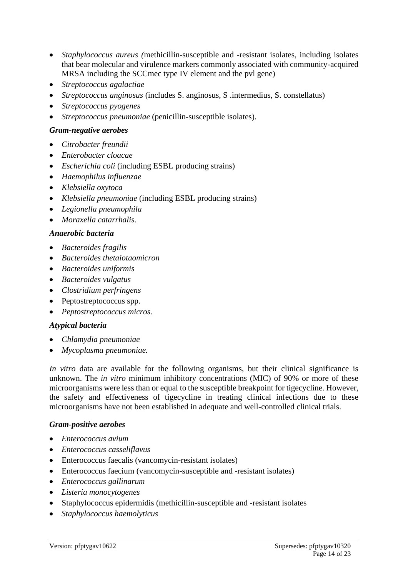- *Staphylococcus aureus (*methicillin-susceptible and -resistant isolates, including isolates that bear molecular and virulence markers commonly associated with community-acquired MRSA including the SCCmec type IV element and the pvl gene)
- *Streptococcus agalactiae*
- *Streptococcus anginosus* (includes S. anginosus, S .intermedius, S. constellatus)
- *Streptococcus pyogenes*
- *Streptococcus pneumoniae* (penicillin-susceptible isolates).

#### *Gram-negative aerobes*

- *Citrobacter freundii*
- *Enterobacter cloacae*
- *Escherichia coli* (including ESBL producing strains)
- *Haemophilus influenzae*
- *Klebsiella oxytoca*
- *Klebsiella pneumoniae* (including ESBL producing strains)
- *Legionella pneumophila*
- *Moraxella catarrhalis.*

#### *Anaerobic bacteria*

- *Bacteroides fragilis*
- *Bacteroides thetaiotaomicron*
- *Bacteroides uniformis*
- *Bacteroides vulgatus*
- *Clostridium perfringens*
- Peptostreptococcus spp.
- *Peptostreptococcus micros.*

#### *Atypical bacteria*

- *Chlamydia pneumoniae*
- *Mycoplasma pneumoniae.*

*In vitro* data are available for the following organisms, but their clinical significance is unknown. The *in vitro* minimum inhibitory concentrations (MIC) of 90% or more of these microorganisms were less than or equal to the susceptible breakpoint for tigecycline. However, the safety and effectiveness of tigecycline in treating clinical infections due to these microorganisms have not been established in adequate and well-controlled clinical trials.

#### *Gram-positive aerobes*

- *Enterococcus avium*
- *Enterococcus casseliflavus*
- Enterococcus faecalis (vancomycin-resistant isolates)
- Enterococcus faecium (vancomycin-susceptible and -resistant isolates)
- *Enterococcus gallinarum*
- *Listeria monocytogenes*
- Staphylococcus epidermidis (methicillin-susceptible and -resistant isolates
- *Staphylococcus haemolyticus*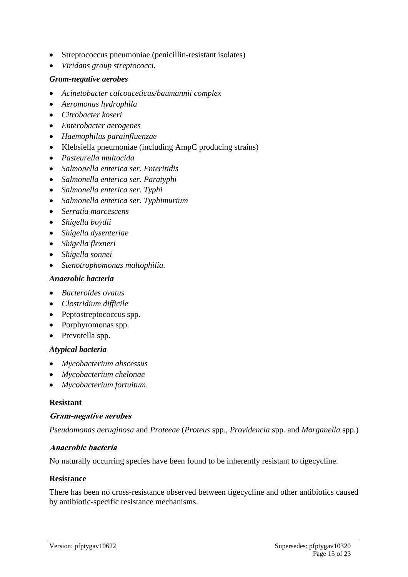- Streptococcus pneumoniae (penicillin-resistant isolates)
- *Viridans group streptococci.*

### *Gram-negative aerobes*

- *Acinetobacter calcoaceticus/baumannii complex*
- *Aeromonas hydrophila*
- *Citrobacter koseri*
- *Enterobacter aerogenes*
- *Haemophilus parainfluenzae*
- Klebsiella pneumoniae (including AmpC producing strains)
- *Pasteurella multocida*
- *Salmonella enterica ser. Enteritidis*
- *Salmonella enterica ser. Paratyphi*
- *Salmonella enterica ser. Typhi*
- *Salmonella enterica ser. Typhimurium*
- *Serratia marcescens*
- *Shigella boydii*
- *Shigella dysenteriae*
- *Shigella flexneri*
- *Shigella sonnei*
- *Stenotrophomonas maltophilia.*

#### *Anaerobic bacteria*

- *Bacteroides ovatus*
- *Clostridium difficile*
- Peptostreptococcus spp.
- Porphyromonas spp.
- Prevotella spp.

#### *Atypical bacteria*

- *Mycobacterium abscessus*
- *Mycobacterium chelonae*
- *Mycobacterium fortuitum.*

### **Resistant**

#### **Gram-negative aerobes**

*Pseudomonas aeruginosa* and *Proteeae* (*Proteus* spp*., Providencia* spp*.* and *Morganella* spp.)

#### **Anaerobic bacteria**

No naturally occurring species have been found to be inherently resistant to tigecycline.

#### **Resistance**

There has been no cross-resistance observed between tigecycline and other antibiotics caused by antibiotic-specific resistance mechanisms.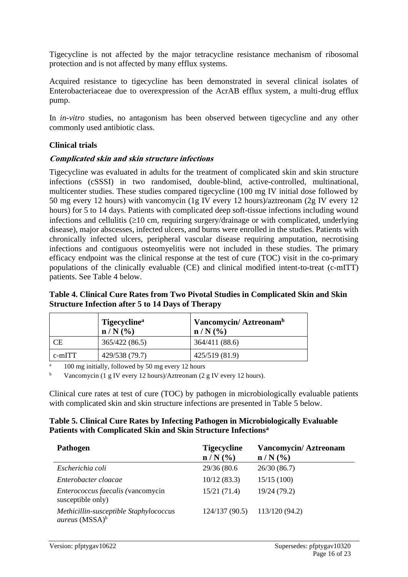Tigecycline is not affected by the major tetracycline resistance mechanism of ribosomal protection and is not affected by many efflux systems.

Acquired resistance to tigecycline has been demonstrated in several clinical isolates of Enterobacteriaceae due to overexpression of the AcrAB efflux system, a multi-drug efflux pump.

In *in-vitro* studies, no antagonism has been observed between tigecycline and any other commonly used antibiotic class.

### **Clinical trials**

### **Complicated skin and skin structure infections**

Tigecycline was evaluated in adults for the treatment of complicated skin and skin structure infections (cSSSI) in two randomised, double-blind, active-controlled, multinational, multicenter studies. These studies compared tigecycline (100 mg IV initial dose followed by 50 mg every 12 hours) with vancomycin (1g IV every 12 hours)/aztreonam (2g IV every 12 hours) for 5 to 14 days. Patients with complicated deep soft-tissue infections including wound infections and cellulitis  $(210 \text{ cm}, \text{ requiring surgery/drainage or with complicated, underlying})$ disease), major abscesses, infected ulcers, and burns were enrolled in the studies. Patients with chronically infected ulcers, peripheral vascular disease requiring amputation, necrotising infections and contiguous osteomyelitis were not included in these studies. The primary efficacy endpoint was the clinical response at the test of cure (TOC) visit in the co-primary populations of the clinically evaluable (CE) and clinical modified intent-to-treat (c-mITT) patients. See Table 4 below.

#### **Table 4. Clinical Cure Rates from Two Pivotal Studies in Complicated Skin and Skin Structure Infection after 5 to 14 Days of Therapy**

|           | Tigecycline <sup>a</sup><br>$n/N$ (%) | Vancomycin/Aztreonam <sup>b</sup><br>$n/N$ (%) |
|-----------|---------------------------------------|------------------------------------------------|
| <b>CE</b> | 365/422 (86.5)                        | 364/411 (88.6)                                 |
| $c$ -mITT | 429/538 (79.7)                        | 425/519 (81.9)                                 |

<sup>a</sup> 100 mg initially, followed by 50 mg every 12 hours

<sup>b</sup> Vancomycin (1 g IV every 12 hours)/Aztreonam (2 g IV every 12 hours).

Clinical cure rates at test of cure (TOC) by pathogen in microbiologically evaluable patients with complicated skin and skin structure infections are presented in Table 5 below.

### **Table 5. Clinical Cure Rates by Infecting Pathogen in Microbiologically Evaluable Patients with Complicated Skin and Skin Structure Infections<sup>a</sup>**

| <b>Pathogen</b>                                                             | <b>Tigecycline</b><br>$n/N$ (%) | <b>Vancomycin/Aztreonam</b><br>$n/N$ (%) |
|-----------------------------------------------------------------------------|---------------------------------|------------------------------------------|
| Escherichia coli                                                            | 29/36 (80.6)                    | 26/30(86.7)                              |
| Enterobacter cloacae                                                        | 10/12(83.3)                     | 15/15(100)                               |
| Enterococcus faecalis (vancomycin<br>susceptible only)                      | 15/21(71.4)                     | 19/24 (79.2)                             |
| Methicillin-susceptible Staphylococcus<br><i>aureus</i> (MSSA) <sup>b</sup> | 124/137(90.5)                   | 113/120 (94.2)                           |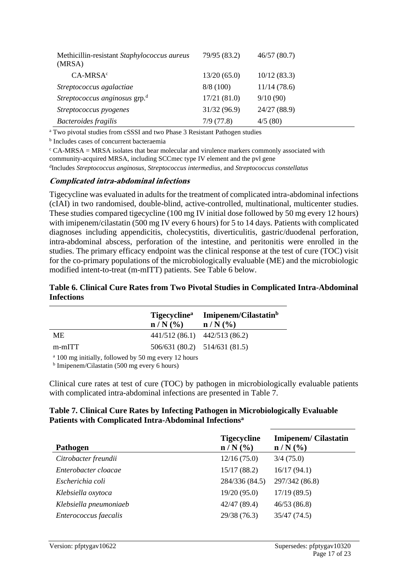| Methicillin-resistant Staphylococcus aureus<br>(MRSA) | 79/95 (83.2) | 46/57(80.7)  |
|-------------------------------------------------------|--------------|--------------|
| $CA-MRSAc$                                            | 13/20(65.0)  | 10/12(83.3)  |
| Streptococcus agalactiae                              | 8/8(100)     | 11/14(78.6)  |
| Streptococcus anginosus grp. <sup>d</sup>             | 17/21(81.0)  | 9/10(90)     |
| Streptococcus pyogenes                                | 31/32 (96.9) | 24/27 (88.9) |
| Bacteroides fragilis                                  | 7/9(77.8)    | 4/5(80)      |

<sup>a</sup> Two pivotal studies from cSSSI and two Phase 3 Resistant Pathogen studies

b Includes cases of concurrent bacteraemia

 $c$  CA-MRSA = MRSA isolates that bear molecular and virulence markers commonly associated with community-acquired MRSA, including SCCmec type IV element and the pvl gene

d Includes *Streptococcus anginosus*, *Streptococcus intermedius*, and *Streptococcus constellatus*

#### **Complicated intra-abdominal infections**

Tigecycline was evaluated in adults for the treatment of complicated intra-abdominal infections (cIAI) in two randomised, double-blind, active-controlled, multinational, multicenter studies. These studies compared tigecycline (100 mg IV initial dose followed by 50 mg every 12 hours) with imipenem/cilastatin (500 mg IV every 6 hours) for 5 to 14 days. Patients with complicated diagnoses including appendicitis, cholecystitis, diverticulitis, gastric/duodenal perforation, intra-abdominal abscess, perforation of the intestine, and peritonitis were enrolled in the studies. The primary efficacy endpoint was the clinical response at the test of cure (TOC) visit for the co-primary populations of the microbiologically evaluable (ME) and the microbiologic modified intent-to-treat (m-mITT) patients. See Table 6 below.

#### **Table 6. Clinical Cure Rates from Two Pivotal Studies in Complicated Intra-Abdominal Infections**

|               | $n/N$ (%) | Tigecycline <sup>a</sup> Imipenem/Cilastatin <sup>b</sup><br>$n/N$ (%) |
|---------------|-----------|------------------------------------------------------------------------|
| <b>ME</b>     |           | $441/512(86.1)$ $442/513(86.2)$                                        |
| $m$ - $m$ ITT |           | $506/631(80.2)$ $514/631(81.5)$                                        |
|               |           |                                                                        |

<sup>a</sup> 100 mg initially, followed by 50 mg every 12 hours

b Imipenem/Cilastatin (500 mg every 6 hours)

Clinical cure rates at test of cure (TOC) by pathogen in microbiologically evaluable patients with complicated intra-abdominal infections are presented in Table 7.

#### **Table 7. Clinical Cure Rates by Infecting Pathogen in Microbiologically Evaluable Patients with Complicated Intra-Abdominal Infections<sup>a</sup>**

| <b>Pathogen</b>        | <b>Tigecycline</b><br>$n/N$ (%) | <b>Imipenem/Cilastatin</b><br>$n/N$ (%) |
|------------------------|---------------------------------|-----------------------------------------|
| Citrobacter freundii   | 12/16(75.0)                     | 3/4(75.0)                               |
| Enterobacter cloacae   | 15/17(88.2)                     | 16/17(94.1)                             |
| Escherichia coli       | 284/336 (84.5)                  | 297/342 (86.8)                          |
| Klebsiella oxytoca     | 19/20(95.0)                     | 17/19(89.5)                             |
| Klebsiella pneumoniaeb | 42/47 (89.4)                    | 46/53(86.8)                             |
| Enterococcus faecalis  | 29/38 (76.3)                    | 35/47(74.5)                             |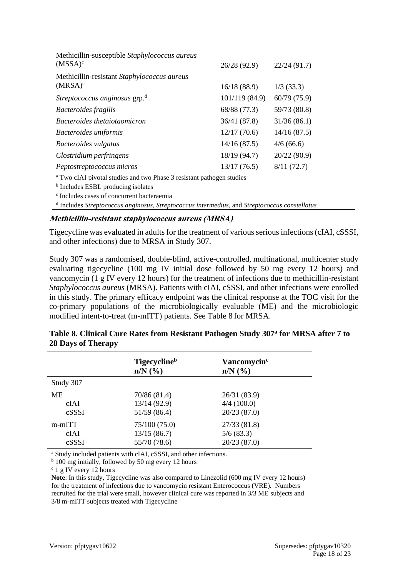| Methicillin-susceptible Staphylococcus aureus<br>$(MSSA)^c$                      | 26/28 (92.9)   | 22/24(91.7)  |
|----------------------------------------------------------------------------------|----------------|--------------|
| Methicillin-resistant Staphylococcus aureus                                      |                |              |
| $(MRSA)^c$                                                                       | 16/18(88.9)    | $1/3$ (33.3) |
| Streptococcus anginosus grp. <sup>d</sup>                                        | 101/119 (84.9) | 60/79(75.9)  |
| Bacteroides fragilis                                                             | 68/88 (77.3)   | 59/73 (80.8) |
| Bacteroides thetaiotaomicron                                                     | 36/41 (87.8)   | 31/36(86.1)  |
| Bacteroides uniformis                                                            | 12/17(70.6)    | 14/16(87.5)  |
| Bacteroides vulgatus                                                             | 14/16(87.5)    | 4/6(66.6)    |
| Clostridium perfringens                                                          | 18/19 (94.7)   | 20/22(90.9)  |
| Peptostreptococcus micros                                                        | 13/17(76.5)    | 8/11(72.7)   |
| <sup>a</sup> Two cIAI pivotal studies and two Phase 3 resistant pathogen studies |                |              |
| <sup>b</sup> Includes ESBL producing isolates                                    |                |              |
| <sup>c</sup> Includes cases of concurrent bacteraemia                            |                |              |

d Includes *Streptococcus anginosus, Streptococcus intermedius*, and *Streptococcus constellatus*

### **Methicillin-resistant staphylococcus aureus (MRSA)**

Tigecycline was evaluated in adults for the treatment of various serious infections (cIAI, cSSSI, and other infections) due to MRSA in Study 307.

Study 307 was a randomised, double-blind, active-controlled, multinational, multicenter study evaluating tigecycline (100 mg IV initial dose followed by 50 mg every 12 hours) and vancomycin (1 g IV every 12 hours) for the treatment of infections due to methicillin-resistant *Staphylococcus aureus* (MRSA). Patients with cIAI, cSSSI, and other infections were enrolled in this study. The primary efficacy endpoint was the clinical response at the TOC visit for the co-primary populations of the microbiologically evaluable (ME) and the microbiologic modified intent-to-treat (m-mITT) patients. See Table 8 for MRSA.

|           | <b>Tigecycline</b> <sup>b</sup><br>$n/N$ $\left(\frac{9}{6}\right)$ | Vancomycin <sup>c</sup><br>$n/N$ $\left(\frac{9}{6}\right)$ |  |
|-----------|---------------------------------------------------------------------|-------------------------------------------------------------|--|
| Study 307 |                                                                     |                                                             |  |
| <b>ME</b> | 70/86 (81.4)                                                        | 26/31 (83.9)                                                |  |
| cIAI      | 13/14 (92.9)                                                        | 4/4(100.0)                                                  |  |
| cSSSI     | 51/59 (86.4)                                                        | 20/23(87.0)                                                 |  |
| $m-mITT$  | 75/100(75.0)                                                        | 27/33(81.8)                                                 |  |
| cIAI      | 13/15(86.7)                                                         | 5/6(83.3)                                                   |  |
| cSSSI     | 55/70 (78.6)                                                        | 20/23(87.0)                                                 |  |

#### **Table 8. Clinical Cure Rates from Resistant Pathogen Study 307<sup>a</sup> for MRSA after 7 to 28 Days of Therapy**

<sup>a</sup> Study included patients with cIAI, cSSSI, and other infections.

<sup>b</sup> 100 mg initially, followed by 50 mg every 12 hours

<sup>c</sup> 1 g IV every 12 hours

**Note**: In this study, Tigecycline was also compared to Linezolid (600 mg IV every 12 hours) for the treatment of infections due to vancomycin resistant Enterococcus (VRE). Numbers recruited for the trial were small, however clinical cure was reported in 3/3 ME subjects and 3/8 m-mITT subjects treated with Tigecycline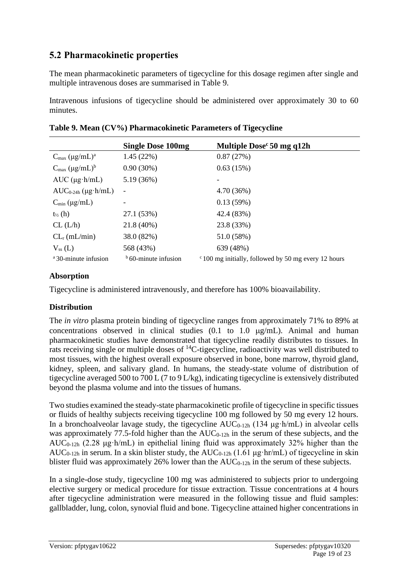# **5.2 Pharmacokinetic properties**

The mean pharmacokinetic parameters of tigecycline for this dosage regimen after single and multiple intravenous doses are summarised in Table 9.

Intravenous infusions of tigecycline should be administered over approximately 30 to 60 minutes.

|                                  | <b>Single Dose 100mg</b> | Multiple Dose $c$ 50 mg q12h                                 |
|----------------------------------|--------------------------|--------------------------------------------------------------|
| $C_{\text{max}} (\mu g/mL)^a$    | 1.45(22%)                | 0.87(27%)                                                    |
| $C_{\text{max}} (\mu g/mL)^b$    | $0.90(30\%)$             | 0.63(15%)                                                    |
| $AUC$ ( $\mu$ g·h/mL)            | 5.19 (36%)               |                                                              |
| $AUC_{0-24h} (\mu g \cdot h/mL)$ | $\overline{\phantom{a}}$ | 4.70 (36%)                                                   |
| $C_{\min}$ (µg/mL)               |                          | 0.13(59%)                                                    |
| $t_{\frac{1}{2}}(h)$             | 27.1 (53%)               | 42.4 (83%)                                                   |
| CL (L/h)                         | 21.8 (40%)               | 23.8 (33%)                                                   |
| $CLr$ (mL/min)                   | 38.0 (82%)               | 51.0 (58%)                                                   |
| $V_{ss}(L)$                      | 568 (43%)                | 639 (48%)                                                    |
| <sup>a</sup> 30-minute infusion  | $b$ 60-minute infusion   | $\degree$ 100 mg initially, followed by 50 mg every 12 hours |

|  |  | Table 9. Mean (CV%) Pharmacokinetic Parameters of Tigecycline |  |  |
|--|--|---------------------------------------------------------------|--|--|
|--|--|---------------------------------------------------------------|--|--|

### **Absorption**

Tigecycline is administered intravenously, and therefore has 100% bioavailability.

### **Distribution**

The *in vitro* plasma protein binding of tigecycline ranges from approximately 71% to 89% at concentrations observed in clinical studies  $(0.1 \text{ to } 1.0 \text{ µg/mL})$ . Animal and human pharmacokinetic studies have demonstrated that tigecycline readily distributes to tissues. In rats receiving single or multiple doses of <sup>14</sup>C-tigecycline, radioactivity was well distributed to most tissues, with the highest overall exposure observed in bone, bone marrow, thyroid gland, kidney, spleen, and salivary gland. In humans, the steady-state volume of distribution of tigecycline averaged 500 to 700 L (7 to 9 L/kg), indicating tigecycline is extensively distributed beyond the plasma volume and into the tissues of humans.

Two studies examined the steady-state pharmacokinetic profile of tigecycline in specific tissues or fluids of healthy subjects receiving tigecycline 100 mg followed by 50 mg every 12 hours. In a bronchoalveolar lavage study, the tigecycline  $AUC_{0-12h}$  (134 μg·h/mL) in alveolar cells was approximately 77.5-fold higher than the  $AUC_{0-12h}$  in the serum of these subjects, and the AUC<sub>0-12h</sub> (2.28  $\mu$ g·h/mL) in epithelial lining fluid was approximately 32% higher than the  $AUC_{0-12h}$  in serum. In a skin blister study, the  $AUC_{0-12h}$  (1.61 µg·hr/mL) of tigecycline in skin blister fluid was approximately 26% lower than the  $AUC_{0-12h}$  in the serum of these subjects.

In a single-dose study, tigecycline 100 mg was administered to subjects prior to undergoing elective surgery or medical procedure for tissue extraction. Tissue concentrations at 4 hours after tigecycline administration were measured in the following tissue and fluid samples: gallbladder, lung, colon, synovial fluid and bone. Tigecycline attained higher concentrations in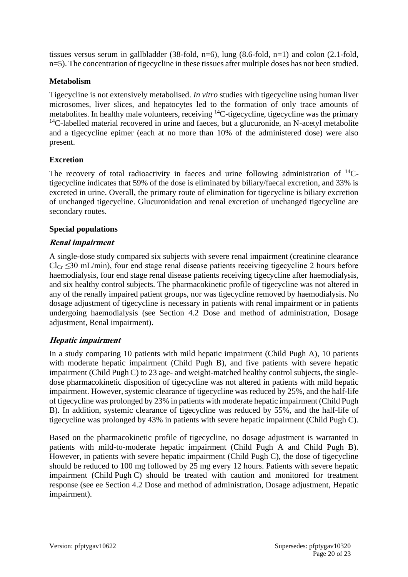tissues versus serum in gallbladder (38-fold, n=6), lung (8.6-fold, n=1) and colon (2.1-fold, n=5). The concentration of tigecycline in these tissues after multiple doses has not been studied.

### **Metabolism**

Tigecycline is not extensively metabolised. *In vitro* studies with tigecycline using human liver microsomes, liver slices, and hepatocytes led to the formation of only trace amounts of metabolites. In healthy male volunteers, receiving <sup>14</sup>C-tigecycline, tigecycline was the primary  $14$ C-labelled material recovered in urine and faeces, but a glucuronide, an N-acetyl metabolite and a tigecycline epimer (each at no more than 10% of the administered dose) were also present.

### **Excretion**

The recovery of total radioactivity in faeces and urine following administration of  $^{14}C$ tigecycline indicates that 59% of the dose is eliminated by biliary/faecal excretion, and 33% is excreted in urine. Overall, the primary route of elimination for tigecycline is biliary excretion of unchanged tigecycline. Glucuronidation and renal excretion of unchanged tigecycline are secondary routes.

### **Special populations**

### **Renal impairment**

A single-dose study compared six subjects with severe renal impairment (creatinine clearance  $Cl_{Cr} \leq 30$  mL/min), four end stage renal disease patients receiving tigecycline 2 hours before haemodialysis, four end stage renal disease patients receiving tigecycline after haemodialysis, and six healthy control subjects. The pharmacokinetic profile of tigecycline was not altered in any of the renally impaired patient groups, nor was tigecycline removed by haemodialysis. No dosage adjustment of tigecycline is necessary in patients with renal impairment or in patients undergoing haemodialysis (see Section 4.2 Dose and method of administration, Dosage adjustment, Renal impairment).

### **Hepatic impairment**

In a study comparing 10 patients with mild hepatic impairment (Child Pugh A), 10 patients with moderate hepatic impairment (Child Pugh B), and five patients with severe hepatic impairment (Child Pugh C) to 23 age- and weight-matched healthy control subjects, the singledose pharmacokinetic disposition of tigecycline was not altered in patients with mild hepatic impairment. However, systemic clearance of tigecycline was reduced by 25%, and the half-life of tigecycline was prolonged by 23% in patients with moderate hepatic impairment (Child Pugh B). In addition, systemic clearance of tigecycline was reduced by 55%, and the half-life of tigecycline was prolonged by 43% in patients with severe hepatic impairment (Child Pugh C).

Based on the pharmacokinetic profile of tigecycline, no dosage adjustment is warranted in patients with mild-to-moderate hepatic impairment (Child Pugh A and Child Pugh B). However, in patients with severe hepatic impairment (Child Pugh C), the dose of tigecycline should be reduced to 100 mg followed by 25 mg every 12 hours. Patients with severe hepatic impairment (Child Pugh C) should be treated with caution and monitored for treatment response (see ee Section 4.2 Dose and method of administration, Dosage adjustment, Hepatic impairment).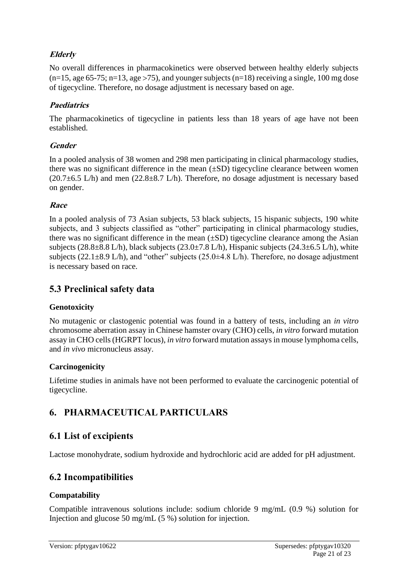### **Elderly**

No overall differences in pharmacokinetics were observed between healthy elderly subjects  $(n=15, age 65-75; n=13, age > 75)$ , and younger subjects  $(n=18)$  receiving a single, 100 mg dose of tigecycline. Therefore, no dosage adjustment is necessary based on age.

### **Paediatrics**

The pharmacokinetics of tigecycline in patients less than 18 years of age have not been established.

### **Gender**

In a pooled analysis of 38 women and 298 men participating in clinical pharmacology studies, there was no significant difference in the mean  $(\pm SD)$  tigecycline clearance between women  $(20.7\pm6.5 \text{ L/h})$  and men  $(22.8\pm8.7 \text{ L/h})$ . Therefore, no dosage adjustment is necessary based on gender.

### **Race**

In a pooled analysis of 73 Asian subjects, 53 black subjects, 15 hispanic subjects, 190 white subjects, and 3 subjects classified as "other" participating in clinical pharmacology studies, there was no significant difference in the mean  $(\pm SD)$  tigecycline clearance among the Asian subjects (28.8 $\pm$ 8.8 L/h), black subjects (23.0 $\pm$ 7.8 L/h), Hispanic subjects (24.3 $\pm$ 6.5 L/h), white subjects (22.1 $\pm$ 8.9 L/h), and "other" subjects (25.0 $\pm$ 4.8 L/h). Therefore, no dosage adjustment is necessary based on race.

# **5.3 Preclinical safety data**

### **Genotoxicity**

No mutagenic or clastogenic potential was found in a battery of tests, including an *in vitro* chromosome aberration assay in Chinese hamster ovary (CHO) cells, *in vitro* forward mutation assay in CHO cells (HGRPT locus), *in vitro* forward mutation assays in mouse lymphoma cells, and *in vivo* micronucleus assay.

### **Carcinogenicity**

Lifetime studies in animals have not been performed to evaluate the carcinogenic potential of tigecycline.

# **6. PHARMACEUTICAL PARTICULARS**

# **6.1 List of excipients**

Lactose monohydrate, sodium hydroxide and hydrochloric acid are added for pH adjustment.

# **6.2 Incompatibilities**

### **Compatability**

Compatible intravenous solutions include: sodium chloride 9 mg/mL (0.9 %) solution for Injection and glucose 50 mg/mL (5 %) solution for injection.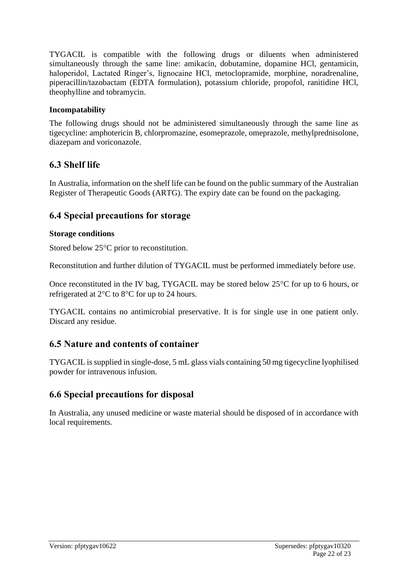TYGACIL is compatible with the following drugs or diluents when administered simultaneously through the same line: amikacin, dobutamine, dopamine HCl, gentamicin, haloperidol, Lactated Ringer's, lignocaine HCl, metoclopramide, morphine, noradrenaline, piperacillin/tazobactam (EDTA formulation), potassium chloride, propofol, ranitidine HCl, theophylline and tobramycin.

### **Incompatability**

The following drugs should not be administered simultaneously through the same line as tigecycline: amphotericin B, chlorpromazine, esomeprazole, omeprazole, methylprednisolone, diazepam and voriconazole.

# **6.3 Shelf life**

In Australia, information on the shelf life can be found on the public summary of the Australian Register of Therapeutic Goods (ARTG). The expiry date can be found on the packaging.

# **6.4 Special precautions for storage**

### **Storage conditions**

Stored below  $25^{\circ}$ C prior to reconstitution.

Reconstitution and further dilution of TYGACIL must be performed immediately before use.

Once reconstituted in the IV bag, TYGACIL may be stored below  $25^{\circ}$ C for up to 6 hours, or refrigerated at  $2^{\circ}$ C to  $8^{\circ}$ C for up to 24 hours.

TYGACIL contains no antimicrobial preservative. It is for single use in one patient only. Discard any residue.

# **6.5 Nature and contents of container**

TYGACIL is supplied in single-dose, 5 mL glass vials containing 50 mg tigecycline lyophilised powder for intravenous infusion.

# **6.6 Special precautions for disposal**

In Australia, any unused medicine or waste material should be disposed of in accordance with local requirements.